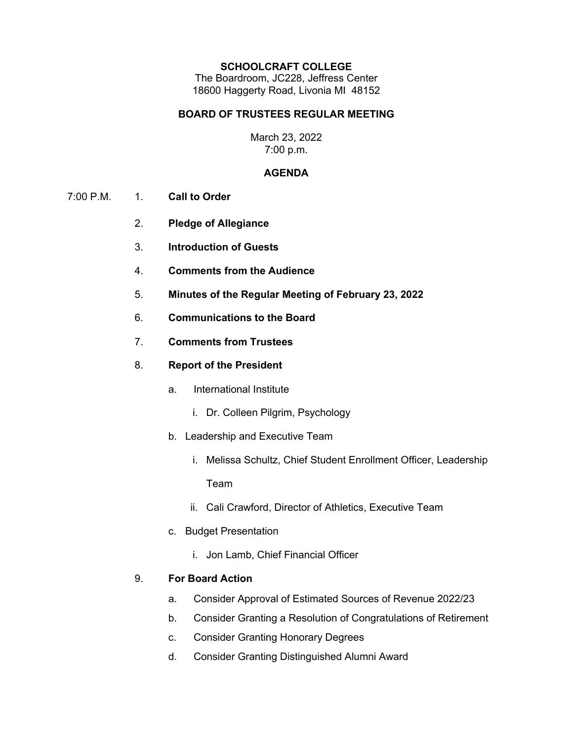#### **SCHOOLCRAFT COLLEGE**

The Boardroom, JC228, Jeffress Center 18600 Haggerty Road, Livonia MI 48152

## **BOARD OF TRUSTEES REGULAR MEETING**

## March 23, 2022 7:00 p.m.

### **AGENDA**

- 7:00 P.M. 1. **Call to Order**
	- 2. **Pledge of Allegiance**
	- 3. **Introduction of Guests**
	- 4. **Comments from the Audience**
	- 5. **Minutes of the Regular Meeting of February 23, 2022**
	- 6. **Communications to the Board**
	- 7. **Comments from Trustees**
	- 8. **Report of the President**
		- a. International Institute
			- i. Dr. Colleen Pilgrim, Psychology
		- b. Leadership and Executive Team
			- i. Melissa Schultz, Chief Student Enrollment Officer, Leadership Team
			- ii. Cali Crawford, Director of Athletics, Executive Team
		- c. Budget Presentation
			- i. Jon Lamb, Chief Financial Officer

# 9. **For Board Action**

- a. Consider Approval of Estimated Sources of Revenue 2022/23
- b. Consider Granting a Resolution of Congratulations of Retirement
- c. Consider Granting Honorary Degrees
- d. Consider Granting Distinguished Alumni Award